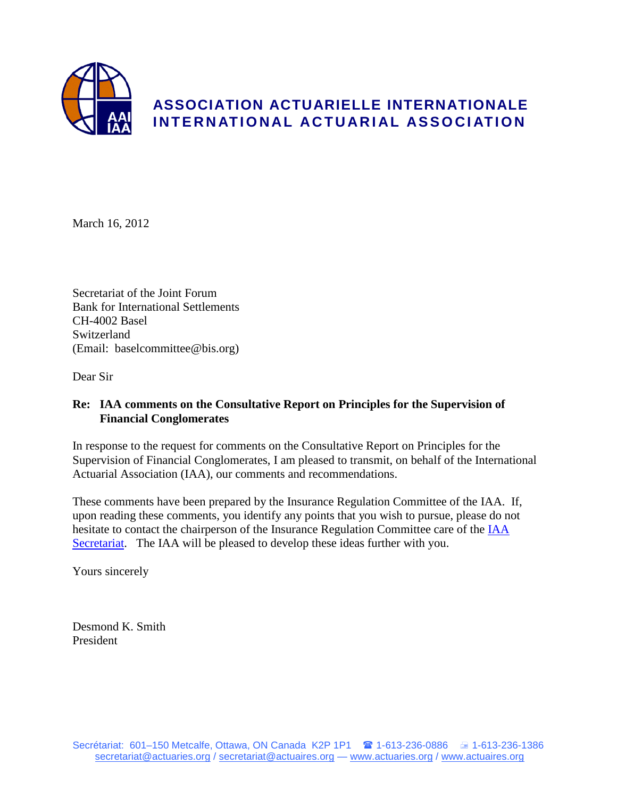

March 16, 2012

Secretariat of the Joint Forum Bank for International Settlements CH-4002 Basel Switzerland (Email: baselcommittee@bis.org)

Dear Sir

# **Re: IAA comments on the Consultative Report on Principles for the Supervision of Financial Conglomerates**

In response to the request for comments on the Consultative Report on Principles for the Supervision of Financial Conglomerates, I am pleased to transmit, on behalf of the International Actuarial Association (IAA), our comments and recommendations.

These comments have been prepared by the Insurance Regulation Committee of the IAA. If, upon reading these comments, you identify any points that you wish to pursue, please do not hesitate to contact the chairperson of the Insurance Regulation Committee care of the [IAA](mailto:katy.martin@actuaries.org)  [Secretariat.](mailto:katy.martin@actuaries.org) The IAA will be pleased to develop these ideas further with you.

Yours sincerely

Desmond K. Smith President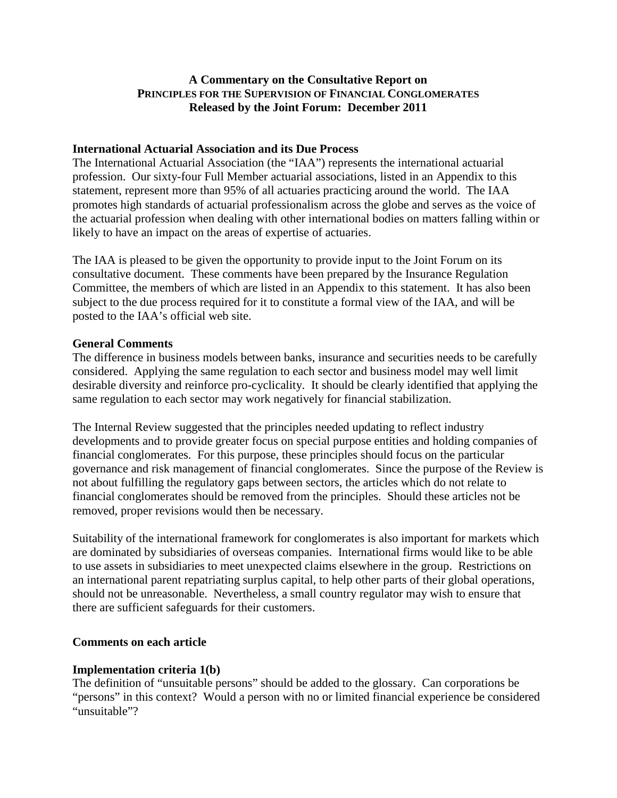# **A Commentary on the Consultative Report on PRINCIPLES FOR THE SUPERVISION OF FINANCIAL CONGLOMERATES Released by the Joint Forum: December 2011**

### **International Actuarial Association and its Due Process**

The International Actuarial Association (the "IAA") represents the international actuarial profession. Our sixty-four Full Member actuarial associations, listed in an Appendix to this statement, represent more than 95% of all actuaries practicing around the world. The IAA promotes high standards of actuarial professionalism across the globe and serves as the voice of the actuarial profession when dealing with other international bodies on matters falling within or likely to have an impact on the areas of expertise of actuaries.

The IAA is pleased to be given the opportunity to provide input to the Joint Forum on its consultative document. These comments have been prepared by the Insurance Regulation Committee, the members of which are listed in an Appendix to this statement. It has also been subject to the due process required for it to constitute a formal view of the IAA, and will be posted to the IAA's official web site.

### **General Comments**

The difference in business models between banks, insurance and securities needs to be carefully considered. Applying the same regulation to each sector and business model may well limit desirable diversity and reinforce pro-cyclicality. It should be clearly identified that applying the same regulation to each sector may work negatively for financial stabilization.

The Internal Review suggested that the principles needed updating to reflect industry developments and to provide greater focus on special purpose entities and holding companies of financial conglomerates. For this purpose, these principles should focus on the particular governance and risk management of financial conglomerates. Since the purpose of the Review is not about fulfilling the regulatory gaps between sectors, the articles which do not relate to financial conglomerates should be removed from the principles. Should these articles not be removed, proper revisions would then be necessary.

Suitability of the international framework for conglomerates is also important for markets which are dominated by subsidiaries of overseas companies. International firms would like to be able to use assets in subsidiaries to meet unexpected claims elsewhere in the group. Restrictions on an international parent repatriating surplus capital, to help other parts of their global operations, should not be unreasonable. Nevertheless, a small country regulator may wish to ensure that there are sufficient safeguards for their customers.

### **Comments on each article**

### **Implementation criteria 1(b)**

The definition of "unsuitable persons" should be added to the glossary. Can corporations be "persons" in this context? Would a person with no or limited financial experience be considered "unsuitable"?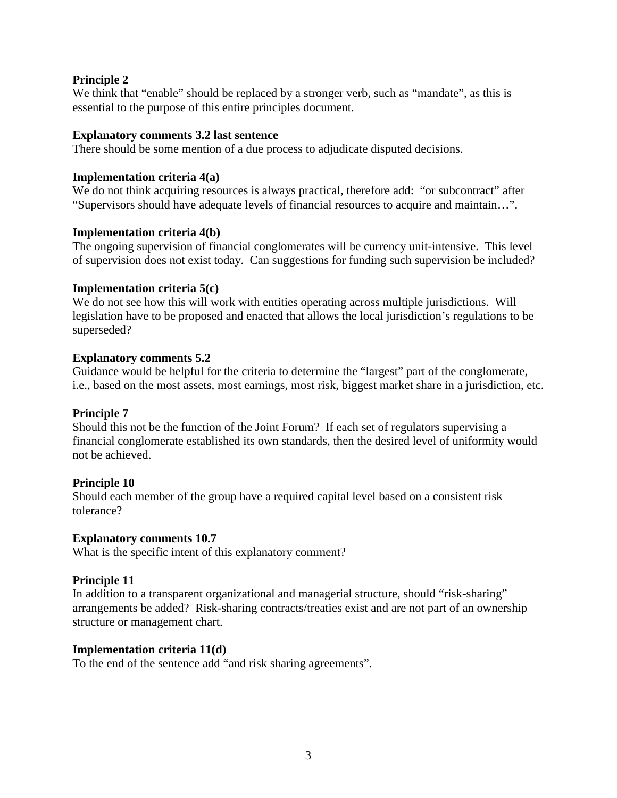## **Principle 2**

We think that "enable" should be replaced by a stronger verb, such as "mandate", as this is essential to the purpose of this entire principles document.

### **Explanatory comments 3.2 last sentence**

There should be some mention of a due process to adjudicate disputed decisions.

### **Implementation criteria 4(a)**

We do not think acquiring resources is always practical, therefore add: "or subcontract" after "Supervisors should have adequate levels of financial resources to acquire and maintain…".

### **Implementation criteria 4(b)**

The ongoing supervision of financial conglomerates will be currency unit-intensive. This level of supervision does not exist today. Can suggestions for funding such supervision be included?

### **Implementation criteria 5(c)**

We do not see how this will work with entities operating across multiple jurisdictions. Will legislation have to be proposed and enacted that allows the local jurisdiction's regulations to be superseded?

### **Explanatory comments 5.2**

Guidance would be helpful for the criteria to determine the "largest" part of the conglomerate, i.e., based on the most assets, most earnings, most risk, biggest market share in a jurisdiction, etc.

### **Principle 7**

Should this not be the function of the Joint Forum? If each set of regulators supervising a financial conglomerate established its own standards, then the desired level of uniformity would not be achieved.

### **Principle 10**

Should each member of the group have a required capital level based on a consistent risk tolerance?

### **Explanatory comments 10.7**

What is the specific intent of this explanatory comment?

### **Principle 11**

In addition to a transparent organizational and managerial structure, should "risk-sharing" arrangements be added? Risk-sharing contracts/treaties exist and are not part of an ownership structure or management chart.

### **Implementation criteria 11(d)**

To the end of the sentence add "and risk sharing agreements".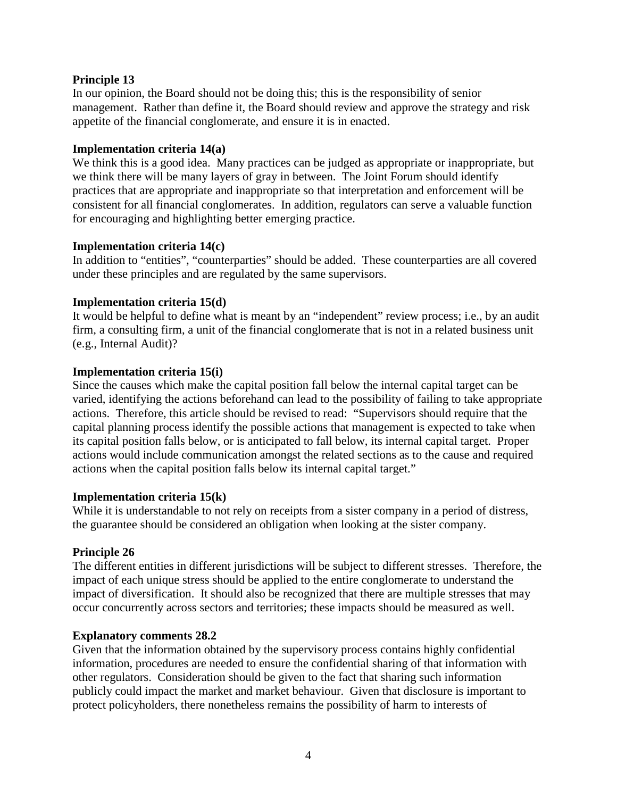## **Principle 13**

In our opinion, the Board should not be doing this; this is the responsibility of senior management. Rather than define it, the Board should review and approve the strategy and risk appetite of the financial conglomerate, and ensure it is in enacted.

### **Implementation criteria 14(a)**

We think this is a good idea. Many practices can be judged as appropriate or inappropriate, but we think there will be many layers of gray in between. The Joint Forum should identify practices that are appropriate and inappropriate so that interpretation and enforcement will be consistent for all financial conglomerates. In addition, regulators can serve a valuable function for encouraging and highlighting better emerging practice.

## **Implementation criteria 14(c)**

In addition to "entities", "counterparties" should be added. These counterparties are all covered under these principles and are regulated by the same supervisors.

## **Implementation criteria 15(d)**

It would be helpful to define what is meant by an "independent" review process; i.e., by an audit firm, a consulting firm, a unit of the financial conglomerate that is not in a related business unit (e.g., Internal Audit)?

## **Implementation criteria 15(i)**

Since the causes which make the capital position fall below the internal capital target can be varied, identifying the actions beforehand can lead to the possibility of failing to take appropriate actions. Therefore, this article should be revised to read: "Supervisors should require that the capital planning process identify the possible actions that management is expected to take when its capital position falls below, or is anticipated to fall below, its internal capital target. Proper actions would include communication amongst the related sections as to the cause and required actions when the capital position falls below its internal capital target."

### **Implementation criteria 15(k)**

While it is understandable to not rely on receipts from a sister company in a period of distress, the guarantee should be considered an obligation when looking at the sister company.

# **Principle 26**

The different entities in different jurisdictions will be subject to different stresses. Therefore, the impact of each unique stress should be applied to the entire conglomerate to understand the impact of diversification. It should also be recognized that there are multiple stresses that may occur concurrently across sectors and territories; these impacts should be measured as well.

### **Explanatory comments 28.2**

Given that the information obtained by the supervisory process contains highly confidential information, procedures are needed to ensure the confidential sharing of that information with other regulators. Consideration should be given to the fact that sharing such information publicly could impact the market and market behaviour. Given that disclosure is important to protect policyholders, there nonetheless remains the possibility of harm to interests of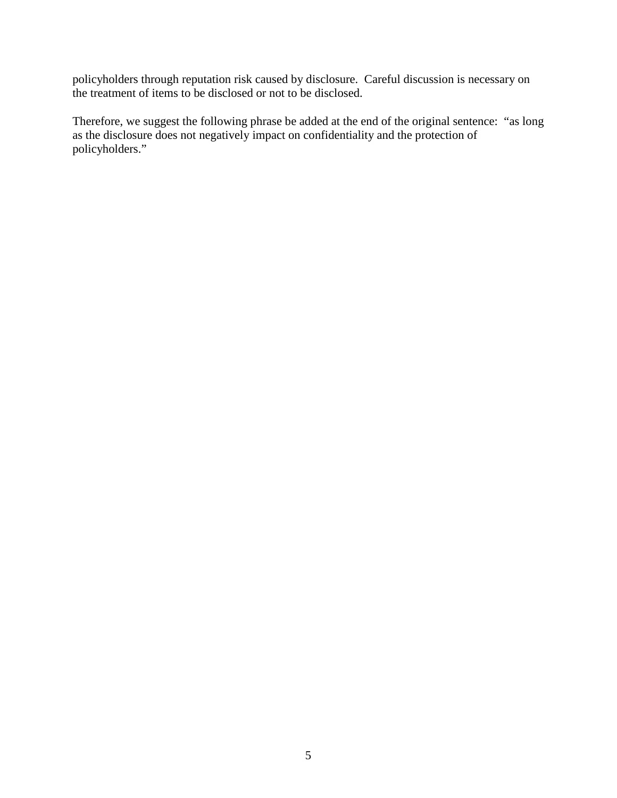policyholders through reputation risk caused by disclosure. Careful discussion is necessary on the treatment of items to be disclosed or not to be disclosed.

Therefore, we suggest the following phrase be added at the end of the original sentence: "as long as the disclosure does not negatively impact on confidentiality and the protection of policyholders."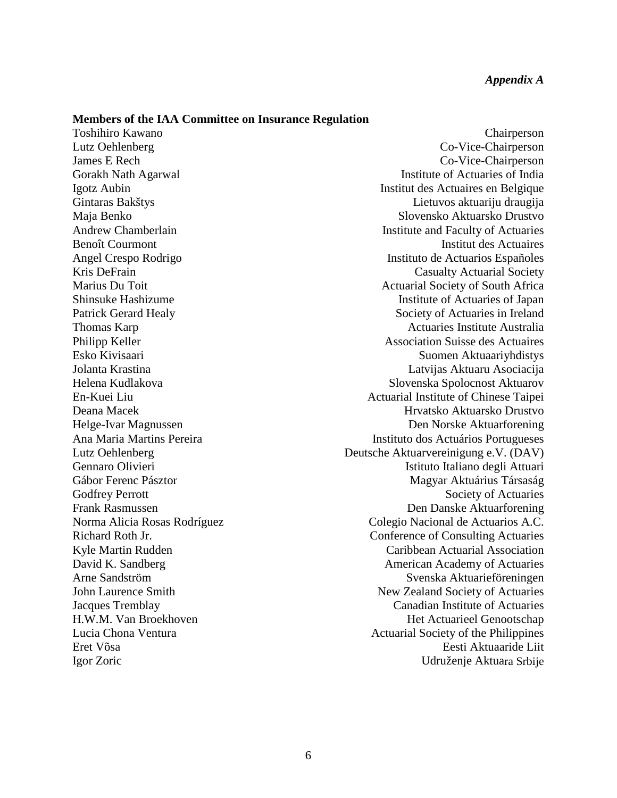#### **Members of the IAA Committee on Insurance Regulation**

Toshihiro Kawano Chairperson Lutz Oehlenberg Co-Vice-Chairperson James E Rech Co-Vice-Chairperson Gorakh Nath Agarwal **Institute of Actuaries of India** Igotz Aubin Institut des Actuaires en Belgique Gintaras Bakštys Lietuvos aktuariju draugija Maja Benko Slovensko Aktuarsko Drustvo Andrew Chamberlain **Institute and Faculty of Actuaries** Benoît Courmont **Institut des Actuaires** Angel Crespo Rodrigo **Instituto de Actuarios Españoles** Kris DeFrain Casualty Actuarial Society Marius Du Toit **Marius Du Toit Actuarial Society of South Africa** Shinsuke Hashizume Institute of Actuaries of Japan Patrick Gerard Healy Society of Actuaries in Ireland Thomas Karp **Actuaries Institute Australia** Philipp Keller Association Suisse des Actuaires Esko Kivisaari Suomen Aktuaariyhdistys Jolanta Krastina Latvijas Aktuaru Asociacija Helena Kudlakova Slovenska Spolocnost Aktuarov En-Kuei Liu Actuarial Institute of Chinese Taipei Deana Macek **Hrvatsko Aktuarsko Drustvo** Helge-Ivar Magnussen Den Norske Aktuarforening<br>
Ana Maria Martins Pereira **Den Norske Aktuarforening**<br>
Instituto dos Actuários Portugueses Instituto dos Actuários Portugueses Lutz Oehlenberg Deutsche Aktuarvereinigung e.V. (DAV) Gennaro Olivieri **Istituto Italiano degli Attuari** Gábor Ferenc Pásztor Magyar Aktuárius Társaság Godfrey Perrott Society of Actuaries Frank Rasmussen Den Danske Aktuarforening Norma Alicia Rosas Rodríguez Colegio Nacional de Actuarios A.C. Richard Roth Jr. Conference of Consulting Actuaries Kyle Martin Rudden **Caribbean Actuarial Association** David K. Sandberg **American Academy of Actuaries** American Academy of Actuaries Arne Sandström Svenska Aktuarieföreningen John Laurence Smith New Zealand Society of Actuaries Jacques Tremblay Canadian Institute of Actuaries H.W.M. Van Broekhoven **Het Actuarieel Genootschap** Lucia Chona Ventura **Actuarial Society of the Philippines** Actuarial Society of the Philippines Eret Võsa Eesti Aktuaaride Liit Igor Zoric Udruženje Aktuara Srbije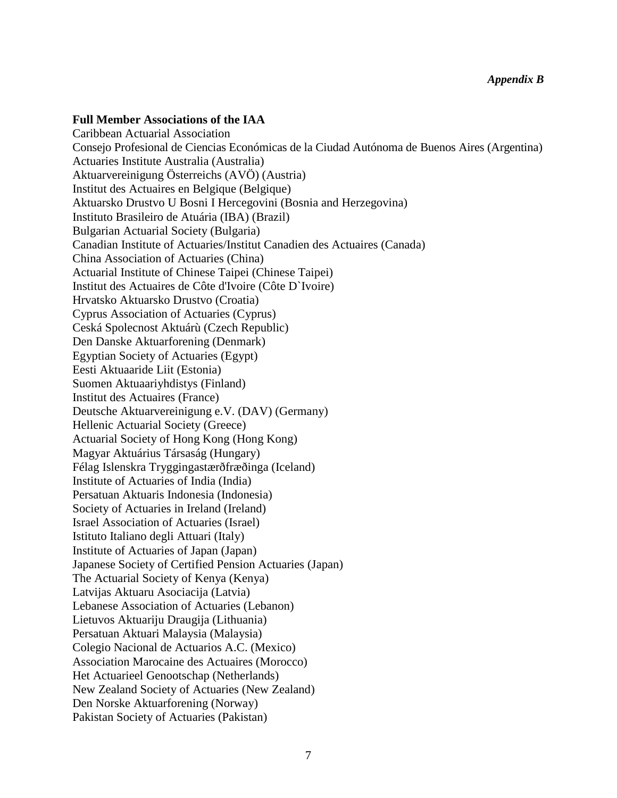### **Full Member Associations of the IAA**

Caribbean Actuarial Association Consejo Profesional de Ciencias Económicas de la Ciudad Autónoma de Buenos Aires (Argentina) Actuaries Institute Australia (Australia) Aktuarvereinigung Österreichs (AVÖ) (Austria) Institut des Actuaires en Belgique (Belgique) Aktuarsko Drustvo U Bosni I Hercegovini (Bosnia and Herzegovina) Instituto Brasileiro de Atuária (IBA) (Brazil) Bulgarian Actuarial Society (Bulgaria) Canadian Institute of Actuaries/Institut Canadien des Actuaires (Canada) China Association of Actuaries (China) Actuarial Institute of Chinese Taipei (Chinese Taipei) Institut des Actuaires de Côte d'Ivoire (Côte D`Ivoire) Hrvatsko Aktuarsko Drustvo (Croatia) Cyprus Association of Actuaries (Cyprus) Ceská Spolecnost Aktuárù (Czech Republic) Den Danske Aktuarforening (Denmark) Egyptian Society of Actuaries (Egypt) Eesti Aktuaaride Liit (Estonia) Suomen Aktuaariyhdistys (Finland) Institut des Actuaires (France) Deutsche Aktuarvereinigung e.V. (DAV) (Germany) Hellenic Actuarial Society (Greece) Actuarial Society of Hong Kong (Hong Kong) Magyar Aktuárius Társaság (Hungary) Félag Islenskra Tryggingastærðfræðinga (Iceland) Institute of Actuaries of India (India) Persatuan Aktuaris Indonesia (Indonesia) Society of Actuaries in Ireland (Ireland) Israel Association of Actuaries (Israel) Istituto Italiano degli Attuari (Italy) Institute of Actuaries of Japan (Japan) Japanese Society of Certified Pension Actuaries (Japan) The Actuarial Society of Kenya (Kenya) Latvijas Aktuaru Asociacija (Latvia) Lebanese Association of Actuaries (Lebanon) Lietuvos Aktuariju Draugija (Lithuania) Persatuan Aktuari Malaysia (Malaysia) Colegio Nacional de Actuarios A.C. (Mexico) Association Marocaine des Actuaires (Morocco) Het Actuarieel Genootschap (Netherlands) New Zealand Society of Actuaries (New Zealand) Den Norske Aktuarforening (Norway) Pakistan Society of Actuaries (Pakistan)